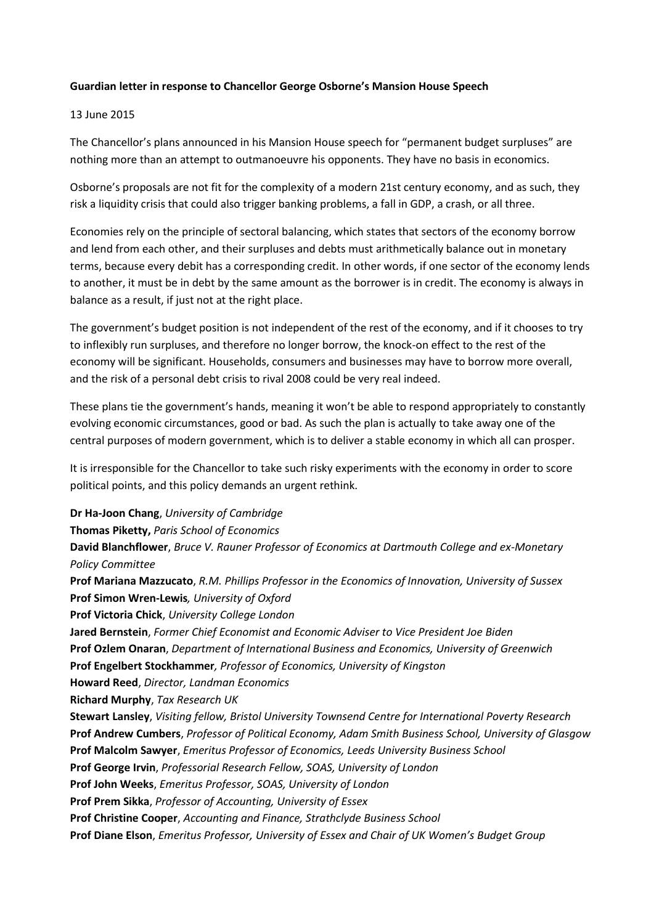## **Guardian letter in response to Chancellor George Osborne's Mansion House Speech**

## 13 June 2015

The Chancellor's plans announced in his Mansion House speech for "permanent budget surpluses" are nothing more than an attempt to outmanoeuvre his opponents. They have no basis in economics.

Osborne's proposals are not fit for the complexity of a modern 21st century economy, and as such, they risk a liquidity crisis that could also trigger banking problems, a fall in GDP, a crash, or all three.

Economies rely on the principle of sectoral balancing, which states that sectors of the economy borrow and lend from each other, and their surpluses and debts must arithmetically balance out in monetary terms, because every debit has a corresponding credit. In other words, if one sector of the economy lends to another, it must be in debt by the same amount as the borrower is in credit. The economy is always in balance as a result, if just not at the right place.

The government's budget position is not independent of the rest of the economy, and if it chooses to try to inflexibly run surpluses, and therefore no longer borrow, the knock-on effect to the rest of the economy will be significant. Households, consumers and businesses may have to borrow more overall, and the risk of a personal debt crisis to rival 2008 could be very real indeed.

These plans tie the government's hands, meaning it won't be able to respond appropriately to constantly evolving economic circumstances, good or bad. As such the plan is actually to take away one of the central purposes of modern government, which is to deliver a stable economy in which all can prosper.

It is irresponsible for the Chancellor to take such risky experiments with the economy in order to score political points, and this policy demands an urgent rethink.

**Dr Ha-Joon Chang**, *University of Cambridge*

## **Thomas Piketty,** *Paris School of Economics*

**David Blanchflower**, *Bruce V. Rauner Professor of Economics at Dartmouth College and ex-Monetary Policy Committee* **Prof Mariana Mazzucato**, *R.M. Phillips Professor in the Economics of Innovation, University of Sussex* **Prof Simon Wren-Lewis***, University of Oxford* **Prof Victoria Chick**, *University College London* **Jared Bernstein**, *Former Chief Economist and Economic Adviser to Vice President Joe Biden* **Prof Ozlem Onaran**, *Department of International Business and Economics, University of Greenwich* **Prof Engelbert Stockhammer***, Professor of Economics, University of Kingston* **Howard Reed**, *Director, Landman Economics* **Richard Murphy**, *Tax Research UK* **Stewart Lansley**, *Visiting fellow, Bristol University Townsend Centre for International Poverty Research* **Prof Andrew Cumbers**, *Professor of Political Economy, Adam Smith Business School, University of Glasgow* **Prof Malcolm Sawyer**, *Emeritus Professor of Economics, Leeds University Business School* **Prof George Irvin**, *Professorial Research Fellow, SOAS, University of London* **Prof John Weeks**, *Emeritus Professor, SOAS, University of London* **Prof Prem Sikka**, *Professor of Accounting, University of Essex* **Prof Christine Cooper**, *Accounting and Finance, Strathclyde Business School* **Prof Diane Elson**, *Emeritus Professor, University of Essex and Chair of UK Women's Budget Group*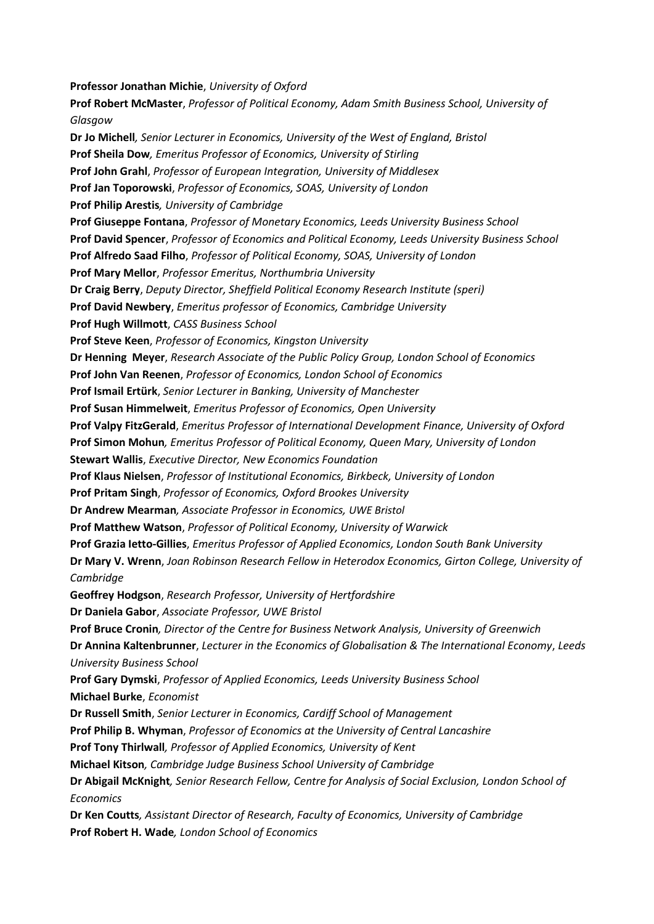**Professor Jonathan Michie**, *University of Oxford* **Prof Robert McMaster**, *Professor of Political Economy, Adam Smith Business School, University of Glasgow* **Dr Jo Michell***, Senior Lecturer in Economics, University of the West of England, Bristol* **Prof Sheila Dow***, Emeritus Professor of Economics, University of Stirling* **Prof John Grahl**, *Professor of European Integration, University of Middlesex* **Prof Jan Toporowski**, *Professor of Economics, SOAS, University of London* **Prof Philip Arestis***, University of Cambridge* **Prof Giuseppe Fontana**, *Professor of Monetary Economics, Leeds University Business School* **Prof David Spencer**, *Professor of Economics and Political Economy, Leeds University Business School* **Prof Alfredo Saad Filho**, *Professor of Political Economy, SOAS, University of London* **Prof Mary Mellor**, *Professor Emeritus, Northumbria University* **Dr Craig Berry**, *Deputy Director, Sheffield Political Economy Research Institute (speri)* **Prof David Newbery**, *Emeritus professor of Economics, Cambridge University* **Prof Hugh Willmott**, *CASS Business School* **Prof Steve Keen**, *Professor of Economics, Kingston University* **Dr Henning Meyer**, *Research Associate of the Public Policy Group, London School of Economics* **Prof John Van Reenen**, *Professor of Economics, London School of Economics* **Prof Ismail Ertürk**, *Senior Lecturer in Banking, University of Manchester* **Prof Susan Himmelweit**, *Emeritus Professor of Economics, Open University* **Prof Valpy FitzGerald**, *Emeritus Professor of International Development Finance, University of Oxford*  **Prof Simon Mohun***, Emeritus Professor of Political Economy, Queen Mary, University of London* **Stewart Wallis**, *Executive Director, New Economics Foundation* **Prof Klaus Nielsen**, *Professor of Institutional Economics, Birkbeck, University of London* **Prof Pritam Singh**, *Professor of Economics, Oxford Brookes University* **Dr Andrew Mearman***, Associate Professor in Economics, UWE Bristol* **Prof Matthew Watson**, *Professor of Political Economy, University of Warwick* **Prof Grazia Ietto-Gillies**, *Emeritus Professor of Applied Economics, London South Bank University* **Dr Mary V. Wrenn**, *Joan Robinson Research Fellow in Heterodox Economics, Girton College, University of Cambridge* **Geoffrey Hodgson**, *Research Professor, University of Hertfordshire* **Dr Daniela Gabor**, *Associate Professor, UWE Bristol* **Prof Bruce Cronin***, Director of the Centre for Business Network Analysis, University of Greenwich* **Dr Annina Kaltenbrunner**, *Lecturer in the Economics of Globalisation & The International Economy*, *Leeds University Business School* **Prof Gary Dymski**, *Professor of Applied Economics, Leeds University Business School* **Michael Burke**, *Economist* **Dr Russell Smith**, *Senior Lecturer in Economics, Cardiff School of Management* **Prof Philip B. Whyman**, *Professor of Economics at the University of Central Lancashire* **Prof Tony Thirlwall***, Professor of Applied Economics, University of Kent* **Michael Kitson***, Cambridge Judge Business School University of Cambridge* **Dr Abigail McKnight***, Senior Research Fellow, Centre for Analysis of Social Exclusion, London School of Economics*  **Dr Ken Coutts***, Assistant Director of Research, Faculty of Economics, University of Cambridge* **Prof Robert H. Wade***, London School of Economics*